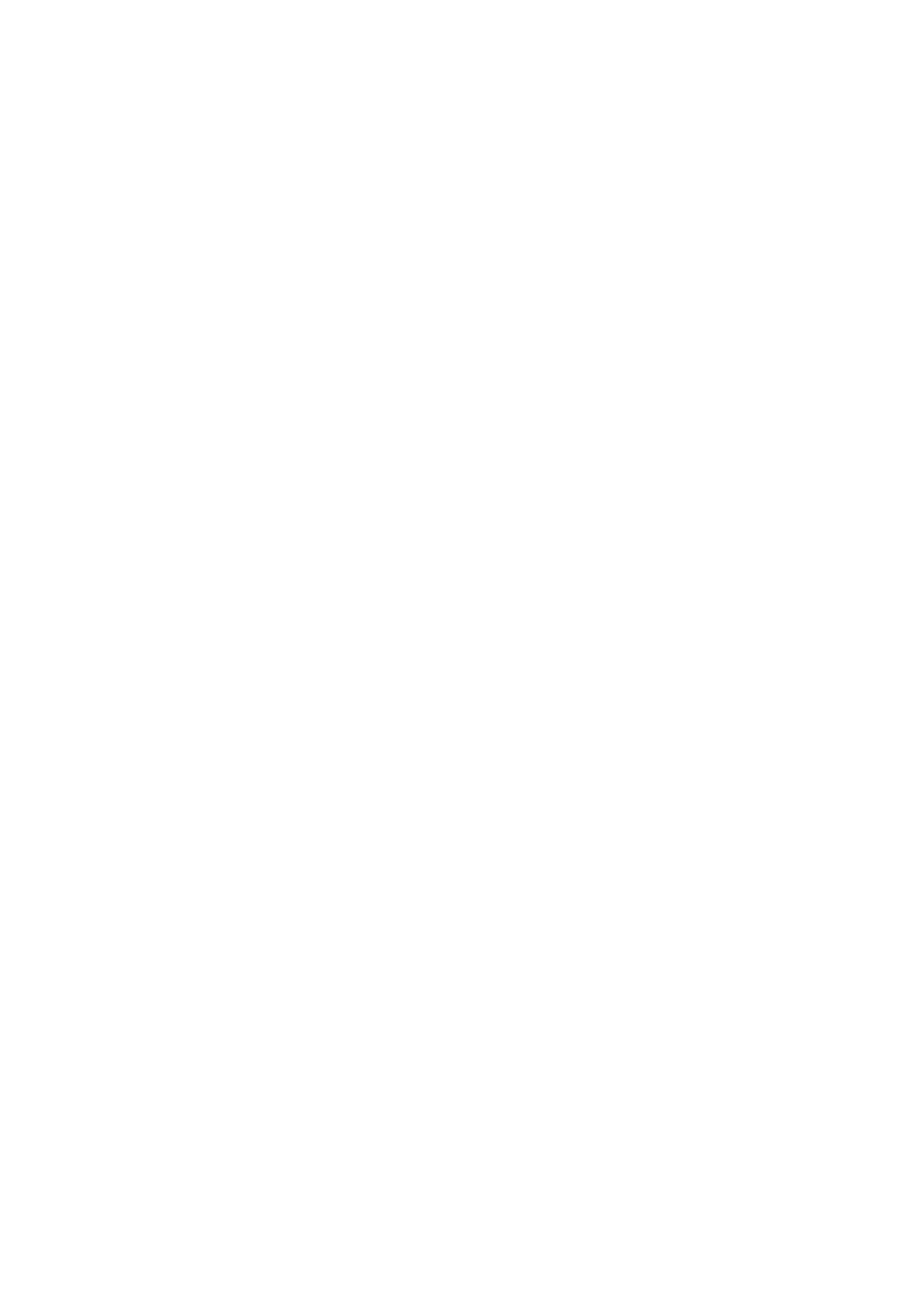# SVENSK STANDARD SS-EN ISO 20685-2:2017



Fastställd/Approved: 2017-03-08 Publicerad/Published: 2017-03-10 Utgåva/Edition: 1 Språk/Language: engelska/English ICS: 12.050; 13.180

**Ergonomi – 3-D scanningsmetoder för internationellt jämförbara antropometriska databaser –** 

**Del 2: Utvärderingsprotokoll av ytform och repeterbarhet av relativa landmärkespositioner (ISO 20685-2:2015)**

**Ergonomics – 3-D scanning methodologies for internationally compatible anthropometric databases –** 

**Part 2: Evaluation protocol of surface shape and repeatability of relative landmark positions (ISO 20685-2:2015)**

This preview is downloaded from www.sis.se. Buy the entire standard via https://www.sis.se/std-8025385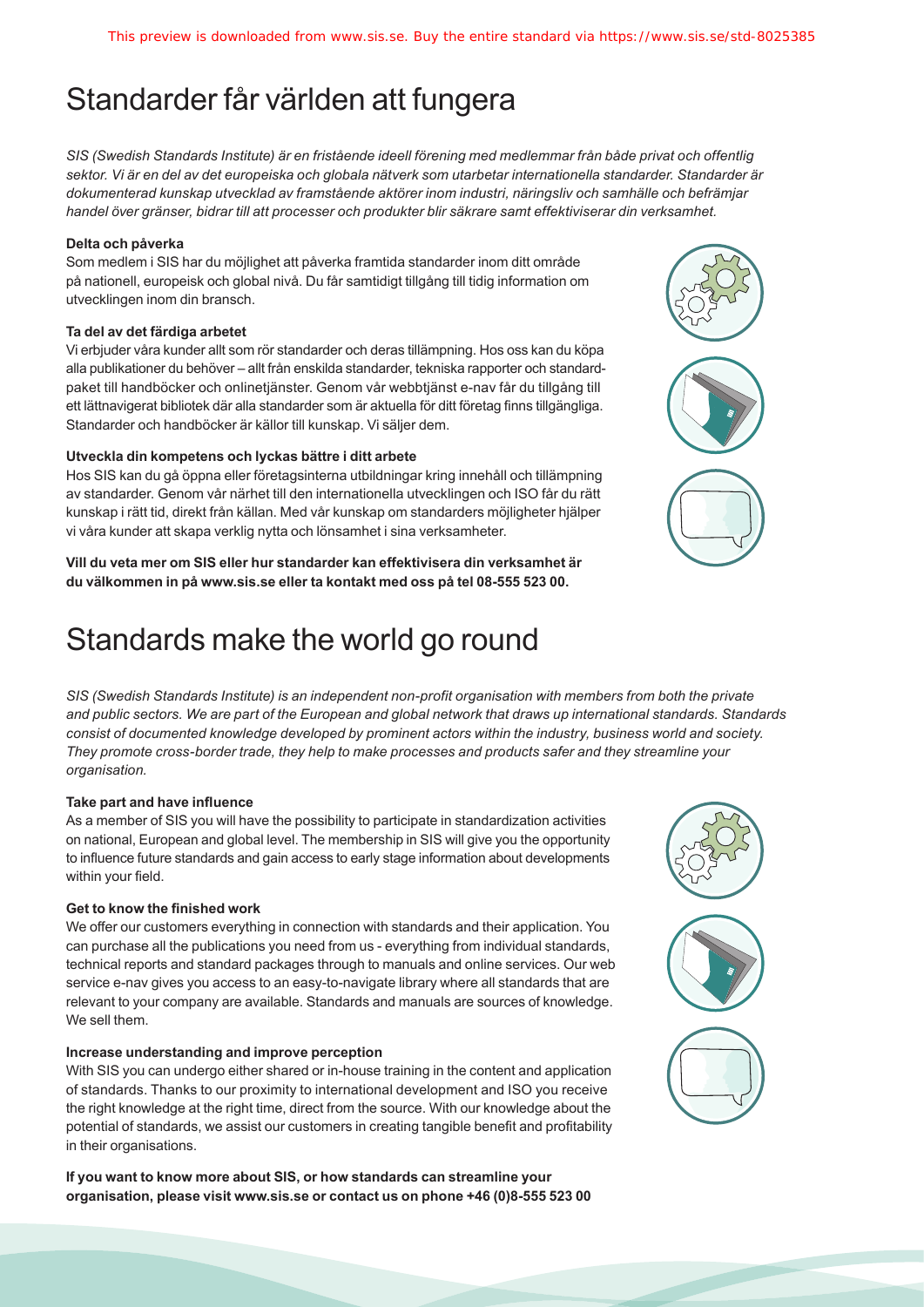# Standarder får världen att fungera

*SIS (Swedish Standards Institute) är en fristående ideell förening med medlemmar från både privat och offentlig sektor. Vi är en del av det europeiska och globala nätverk som utarbetar internationella standarder. Standarder är dokumenterad kunskap utvecklad av framstående aktörer inom industri, näringsliv och samhälle och befrämjar handel över gränser, bidrar till att processer och produkter blir säkrare samt effektiviserar din verksamhet.* 

#### **Delta och påverka**

Som medlem i SIS har du möjlighet att påverka framtida standarder inom ditt område på nationell, europeisk och global nivå. Du får samtidigt tillgång till tidig information om utvecklingen inom din bransch.

#### **Ta del av det färdiga arbetet**

Vi erbjuder våra kunder allt som rör standarder och deras tillämpning. Hos oss kan du köpa alla publikationer du behöver – allt från enskilda standarder, tekniska rapporter och standardpaket till handböcker och onlinetjänster. Genom vår webbtjänst e-nav får du tillgång till ett lättnavigerat bibliotek där alla standarder som är aktuella för ditt företag finns tillgängliga. Standarder och handböcker är källor till kunskap. Vi säljer dem.

#### **Utveckla din kompetens och lyckas bättre i ditt arbete**

Hos SIS kan du gå öppna eller företagsinterna utbildningar kring innehåll och tillämpning av standarder. Genom vår närhet till den internationella utvecklingen och ISO får du rätt kunskap i rätt tid, direkt från källan. Med vår kunskap om standarders möjligheter hjälper vi våra kunder att skapa verklig nytta och lönsamhet i sina verksamheter.

**Vill du veta mer om SIS eller hur standarder kan effektivisera din verksamhet är du välkommen in på www.sis.se eller ta kontakt med oss på tel 08-555 523 00.**

# Standards make the world go round

*SIS (Swedish Standards Institute) is an independent non-profit organisation with members from both the private and public sectors. We are part of the European and global network that draws up international standards. Standards consist of documented knowledge developed by prominent actors within the industry, business world and society. They promote cross-border trade, they help to make processes and products safer and they streamline your organisation.*

#### **Take part and have influence**

As a member of SIS you will have the possibility to participate in standardization activities on national, European and global level. The membership in SIS will give you the opportunity to influence future standards and gain access to early stage information about developments within your field.

#### **Get to know the finished work**

We offer our customers everything in connection with standards and their application. You can purchase all the publications you need from us - everything from individual standards, technical reports and standard packages through to manuals and online services. Our web service e-nav gives you access to an easy-to-navigate library where all standards that are relevant to your company are available. Standards and manuals are sources of knowledge. We sell them.

#### **Increase understanding and improve perception**

With SIS you can undergo either shared or in-house training in the content and application of standards. Thanks to our proximity to international development and ISO you receive the right knowledge at the right time, direct from the source. With our knowledge about the potential of standards, we assist our customers in creating tangible benefit and profitability in their organisations.

**If you want to know more about SIS, or how standards can streamline your organisation, please visit www.sis.se or contact us on phone +46 (0)8-555 523 00**



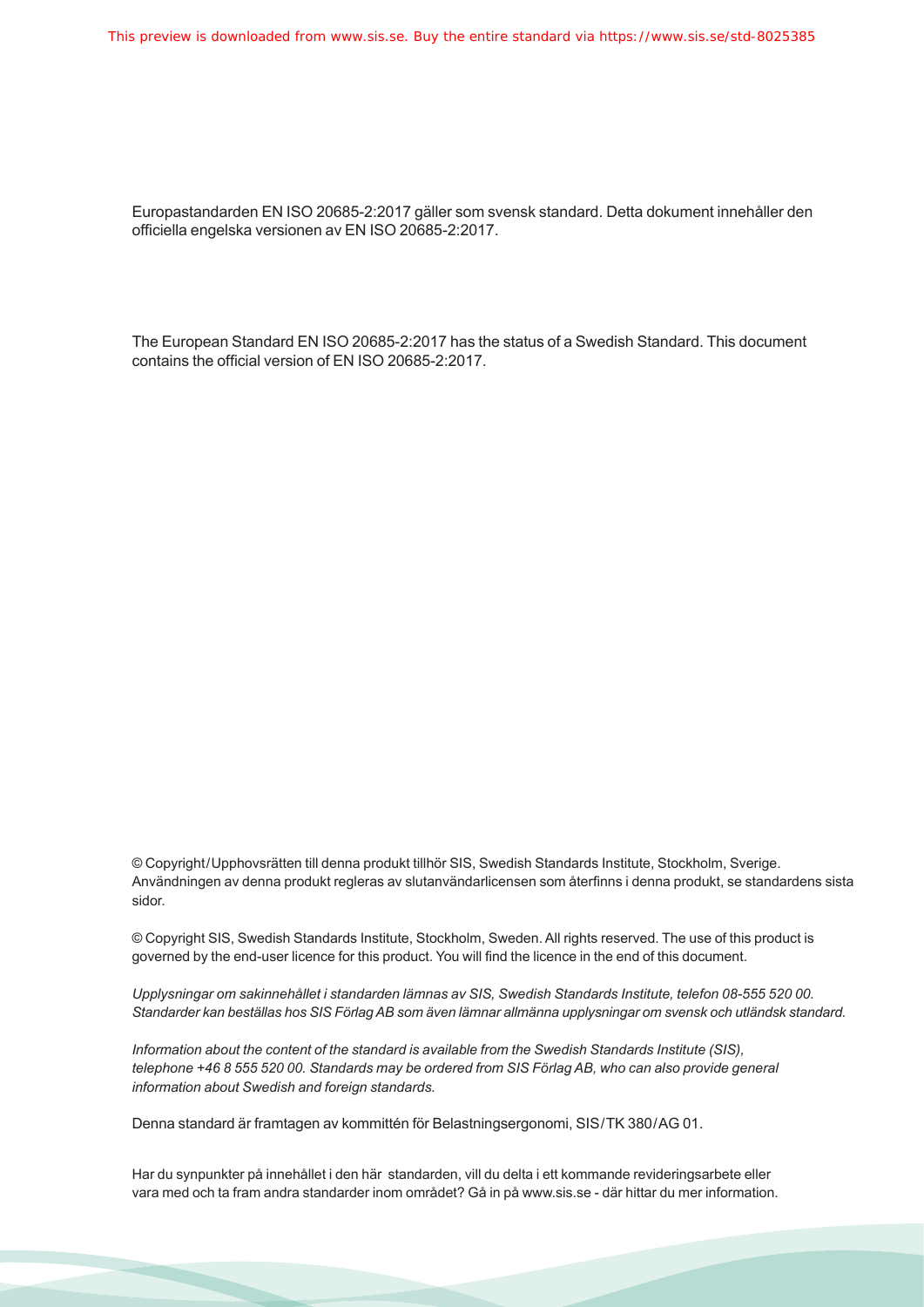Europastandarden EN ISO 20685-2:2017 gäller som svensk standard. Detta dokument innehåller den officiella engelska versionen av EN ISO 20685-2:2017.

The European Standard EN ISO 20685-2:2017 has the status of a Swedish Standard. This document contains the official version of EN ISO 20685-2:2017.

© Copyright / Upphovsrätten till denna produkt tillhör SIS, Swedish Standards Institute, Stockholm, Sverige. Användningen av denna produkt regleras av slutanvändarlicensen som återfinns i denna produkt, se standardens sista sidor.

© Copyright SIS, Swedish Standards Institute, Stockholm, Sweden. All rights reserved. The use of this product is governed by the end-user licence for this product. You will find the licence in the end of this document.

*Upplysningar om sakinnehållet i standarden lämnas av SIS, Swedish Standards Institute, telefon 08-555 520 00. Standarder kan beställas hos SIS Förlag AB som även lämnar allmänna upplysningar om svensk och utländsk standard.*

*Information about the content of the standard is available from the Swedish Standards Institute (SIS), telephone +46 8 555 520 00. Standards may be ordered from SIS Förlag AB, who can also provide general information about Swedish and foreign standards.*

Denna standard är framtagen av kommittén för Belastningsergonomi, SIS / TK 380 / AG 01.

Har du synpunkter på innehållet i den här standarden, vill du delta i ett kommande revideringsarbete eller vara med och ta fram andra standarder inom området? Gå in på www.sis.se - där hittar du mer information.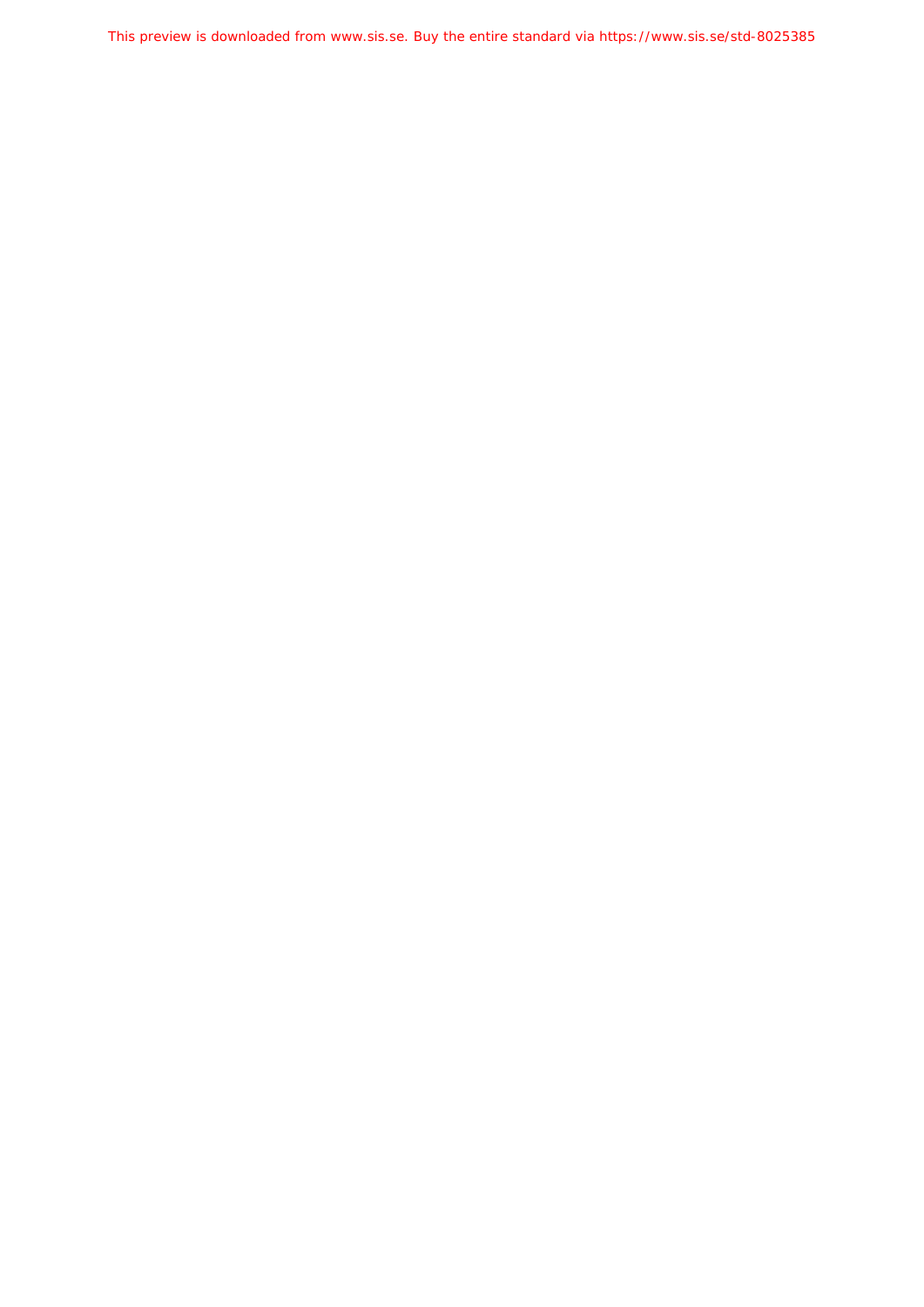This preview is downloaded from www.sis.se. Buy the entire standard via https://www.sis.se/std-8025385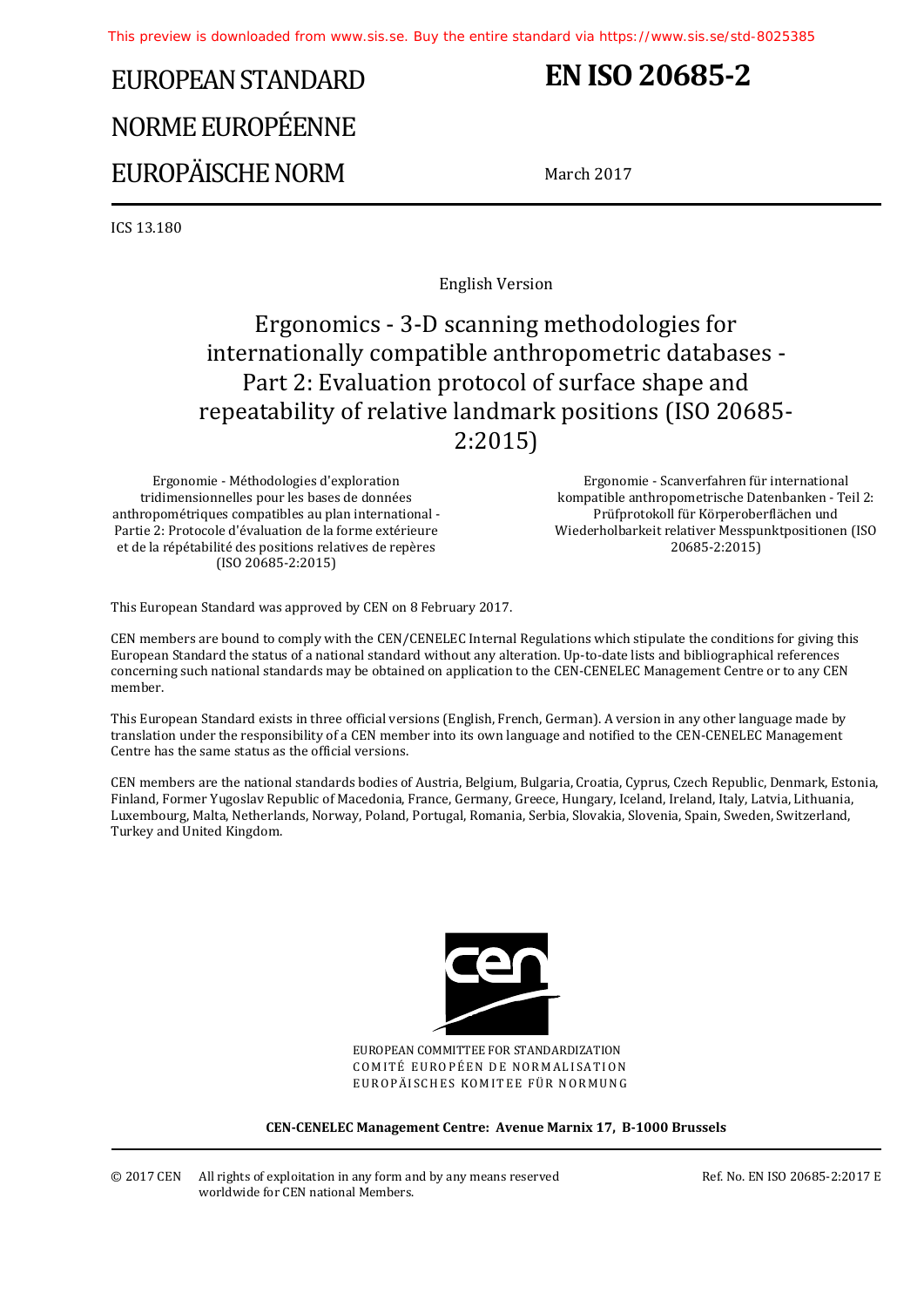# EUROPEAN STANDARD NORME EUROPÉENNE EUROPÄISCHE NORM

## **EN ISO 20685-2**

March 2017

ICS 13.180

English Version

## Ergonomics - 3-D scanning methodologies for internationally compatible anthropometric databases - Part 2: Evaluation protocol of surface shape and repeatability of relative landmark positions (ISO 20685- 2:2015)

Ergonomie - Méthodologies d'exploration tridimensionnelles pour les bases de données anthropométriques compatibles au plan international - Partie 2: Protocole d'évaluation de la forme extérieure et de la répétabilité des positions relatives de repères (ISO 20685-2:2015)

 Ergonomie - Scanverfahren für international kompatible anthropometrische Datenbanken - Teil 2: Prüfprotokoll für Körperoberflächen und Wiederholbarkeit relativer Messpunktpositionen (ISO 20685-2:2015)

This European Standard was approved by CEN on 8 February 2017.

CEN members are bound to comply with the CEN/CENELEC Internal Regulations which stipulate the conditions for giving this European Standard the status of a national standard without any alteration. Up-to-date lists and bibliographical references concerning such national standards may be obtained on application to the CEN-CENELEC Management Centre or to any CEN member.

This European Standard exists in three official versions (English, French, German). A version in any other language made by translation under the responsibility of a CEN member into its own language and notified to the CEN-CENELEC Management Centre has the same status as the official versions.

CEN members are the national standards bodies of Austria, Belgium, Bulgaria, Croatia, Cyprus, Czech Republic, Denmark, Estonia, Finland, Former Yugoslav Republic of Macedonia, France, Germany, Greece, Hungary, Iceland, Ireland, Italy, Latvia, Lithuania, Luxembourg, Malta, Netherlands, Norway, Poland, Portugal, Romania, Serbia, Slovakia, Slovenia, Spain, Sweden, Switzerland, Turkey and United Kingdom.



EUROPEAN COMMITTEE FOR STANDARDIZATION COMITÉ EUROPÉEN DE NORMALISATION EUROPÄISCHES KOMITEE FÜR NORMUNG

**CEN-CENELEC Management Centre: Avenue Marnix 17, B-1000 Brussels** 

© 2017 CEN All rights of exploitation in any form and by any means reserved worldwide for CEN national Members.

Ref. No. EN ISO 20685-2:2017 E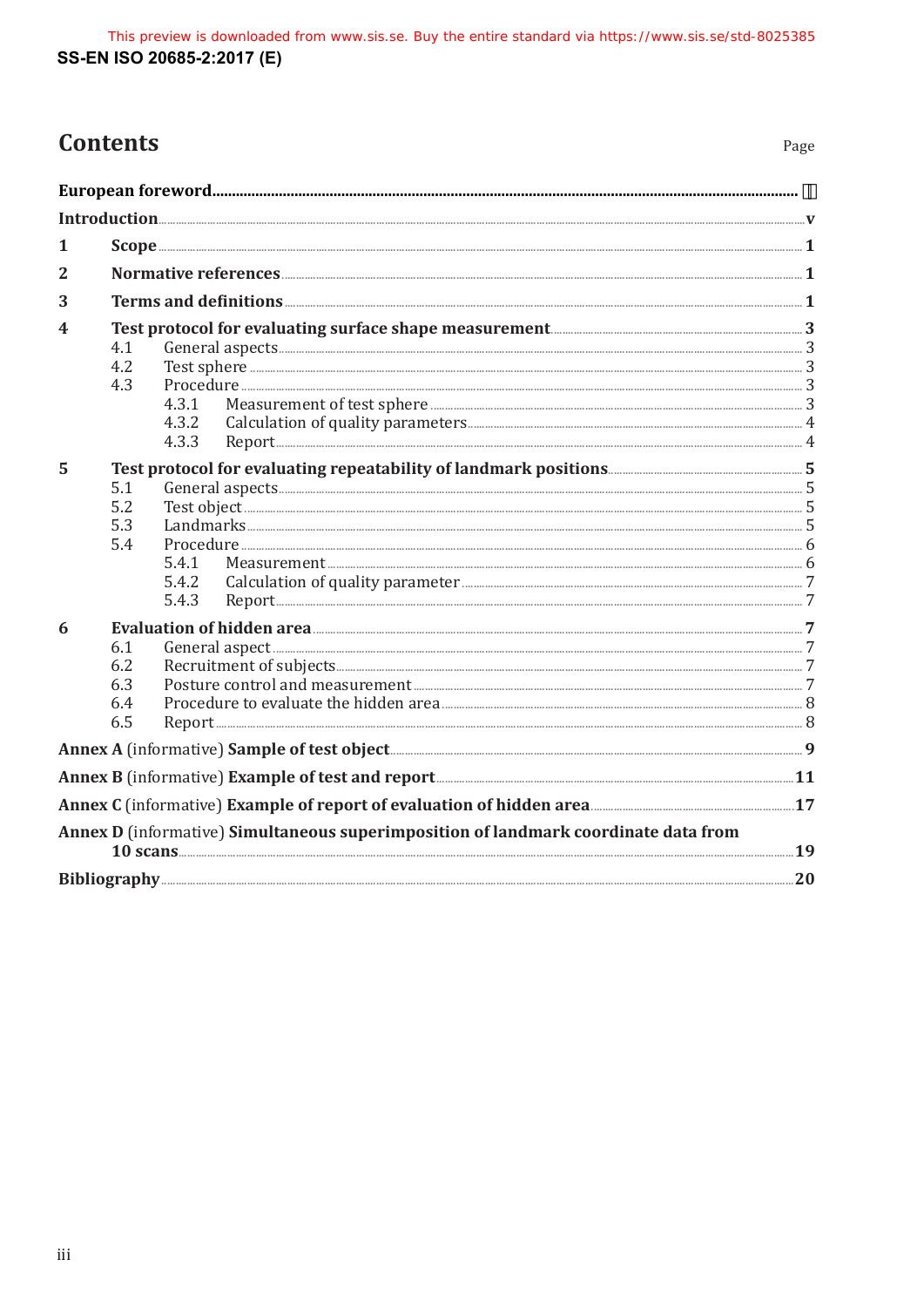| <b>Contents</b> |
|-----------------|
|-----------------|

| ×<br>. .<br>۰,<br>۰.<br>× |
|---------------------------|
|---------------------------|

| 1                       |                                 |                                                                                                                                                                                                                                                                |  |
|-------------------------|---------------------------------|----------------------------------------------------------------------------------------------------------------------------------------------------------------------------------------------------------------------------------------------------------------|--|
| $\overline{2}$          |                                 |                                                                                                                                                                                                                                                                |  |
| 3                       |                                 |                                                                                                                                                                                                                                                                |  |
| $\overline{\mathbf{4}}$ | 4.1<br>4.2<br>4.3               | Procedure 35 and 200 million and 200 million and 200 million and 200 million and 200 million and 30 million and 30 million and 30 million and 30 million and 30 million and 30 million and 30 million and 30 million and 30 mi<br>4.3.1<br>4.3.2<br>4.3.3      |  |
| 5                       | 5.1<br>5.2<br>5.3<br>5.4        | Procedure <u>Electric Communications</u> of the contract of the contract of the contract of the contract of the contract of the contract of the contract of the contract of the contract of the contract of the contract of the con<br>5.4.1<br>5.4.2<br>5.4.3 |  |
| 6                       | 6.1<br>6.2<br>6.3<br>6.4<br>6.5 | Evaluation of hidden area                                                                                                                                                                                                                                      |  |
|                         |                                 |                                                                                                                                                                                                                                                                |  |
|                         |                                 |                                                                                                                                                                                                                                                                |  |
|                         |                                 | Annex C (informative) Example of report of evaluation of hidden area                                                                                                                                                                                           |  |
|                         |                                 | Annex D (informative) Simultaneous superimposition of landmark coordinate data from                                                                                                                                                                            |  |
|                         |                                 |                                                                                                                                                                                                                                                                |  |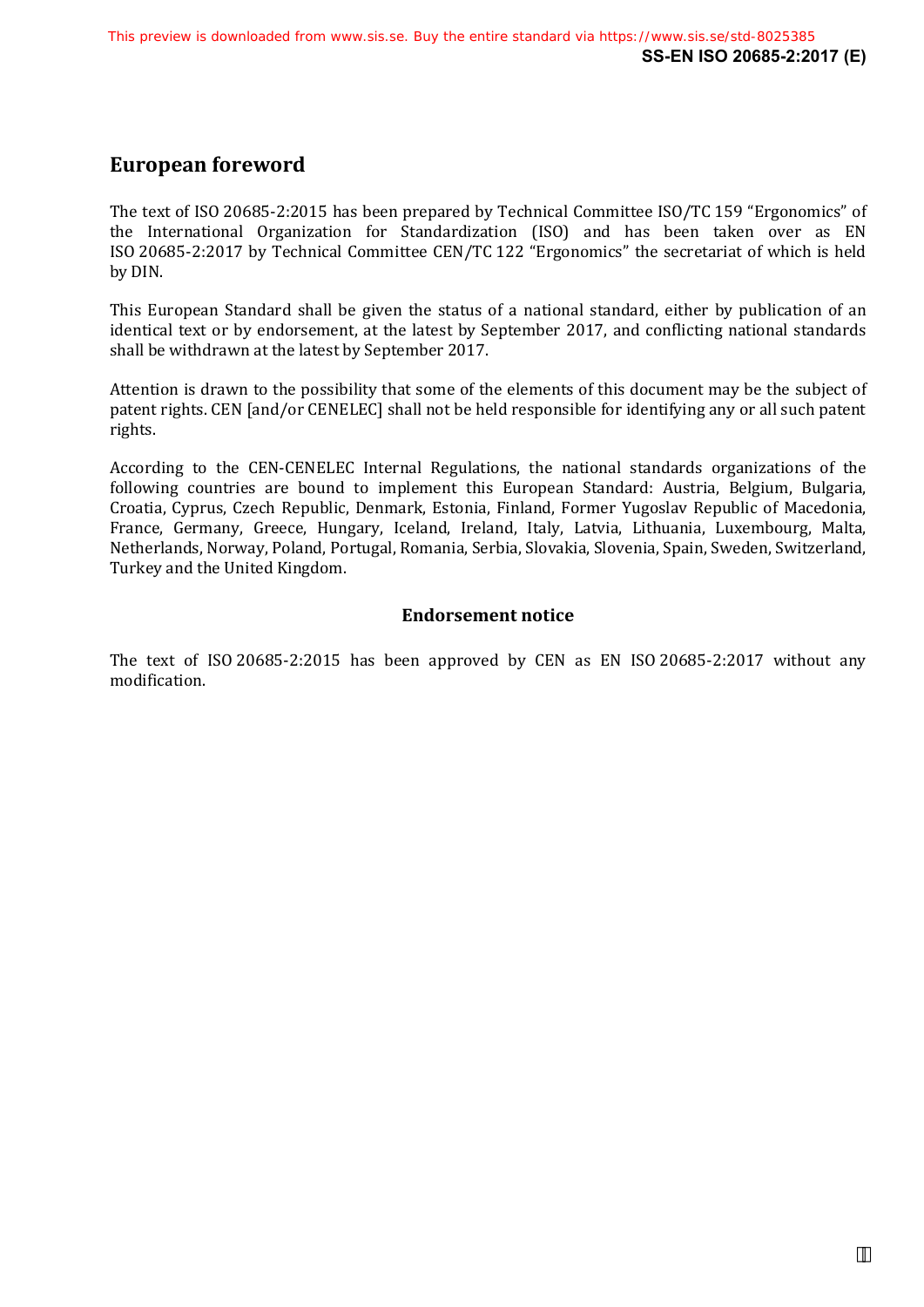## **European foreword**

The text of ISO 20685-2:2015 has been prepared by Technical Committee ISO/TC 159 "Ergonomics" of the International Organization for Standardization (ISO) and has been taken over as EN ISO 20685-2:2017 by Technical Committee CEN/TC 122 "Ergonomics" the secretariat of which is held by DIN.

This European Standard shall be given the status of a national standard, either by publication of an identical text or by endorsement, at the latest by September 2017, and conflicting national standards shall be withdrawn at the latest by September 2017.

Attention is drawn to the possibility that some of the elements of this document may be the subject of patent rights. CEN [and/or CENELEC] shall not be held responsible for identifying any or all such patent rights.

According to the CEN-CENELEC Internal Regulations, the national standards organizations of the following countries are bound to implement this European Standard: Austria, Belgium, Bulgaria, Croatia, Cyprus, Czech Republic, Denmark, Estonia, Finland, Former Yugoslav Republic of Macedonia, France, Germany, Greece, Hungary, Iceland, Ireland, Italy, Latvia, Lithuania, Luxembourg, Malta, Netherlands, Norway, Poland, Portugal, Romania, Serbia, Slovakia, Slovenia, Spain, Sweden, Switzerland, Turkey and the United Kingdom.

## **Endorsement notice**

The text of ISO 20685-2:2015 has been approved by CEN as EN ISO 20685-2:2017 without any modification.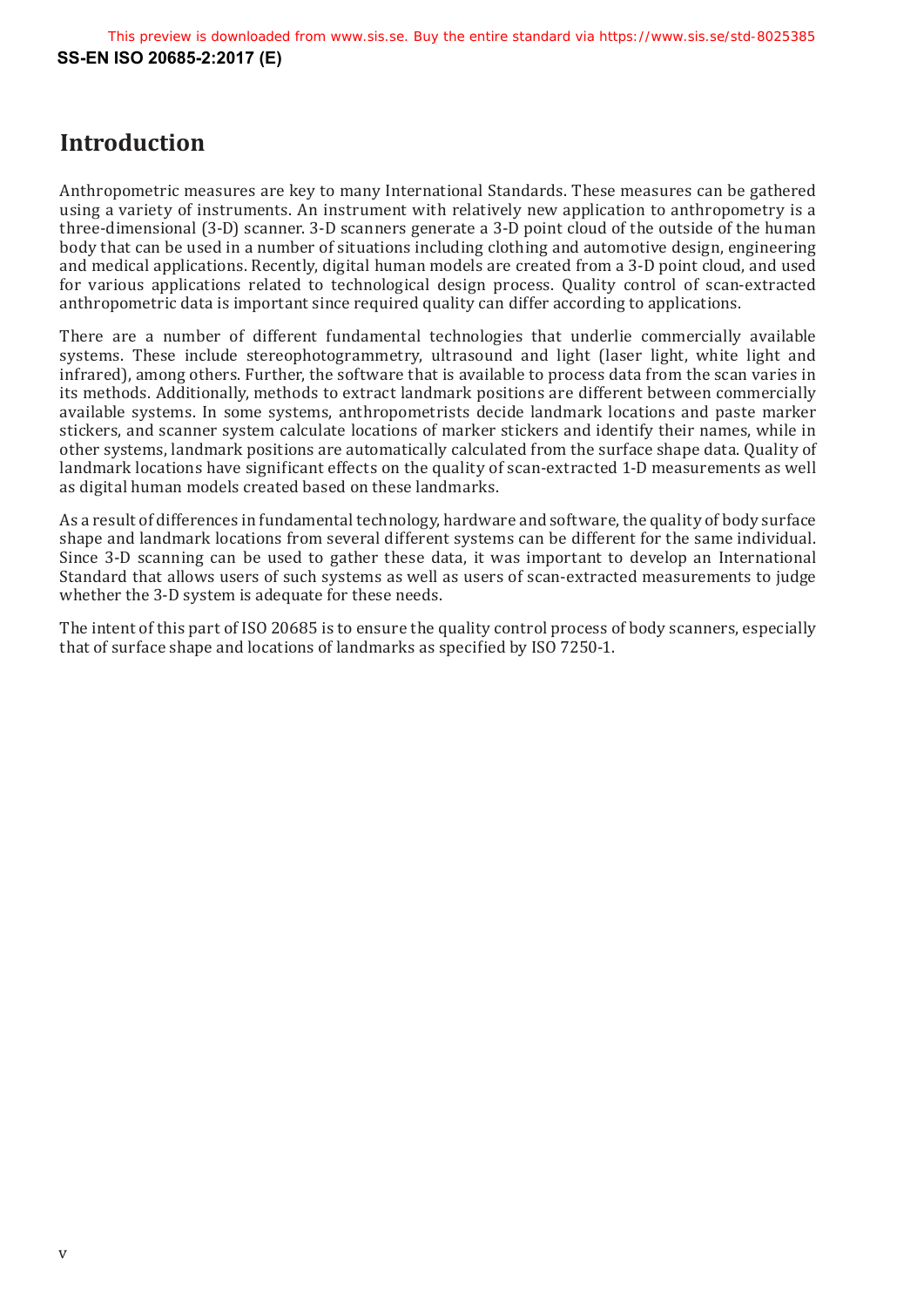## **Introduction**

Anthropometric measures are key to many International Standards. These measures can be gathered using a variety of instruments. An instrument with relatively new application to anthropometry is a three-dimensional (3-D) scanner. 3-D scanners generate a 3-D point cloud of the outside of the human body that can be used in a number of situations including clothing and automotive design, engineering and medical applications. Recently, digital human models are created from a 3-D point cloud, and used for various applications related to technological design process. Quality control of scan-extracted anthropometric data is important since required quality can differ according to applications.

There are a number of different fundamental technologies that underlie commercially available systems. These include stereophotogrammetry, ultrasound and light (laser light, white light and infrared), among others. Further, the software that is available to process data from the scan varies in its methods. Additionally, methods to extract landmark positions are different between commercially available systems. In some systems, anthropometrists decide landmark locations and paste marker stickers, and scanner system calculate locations of marker stickers and identify their names, while in other systems, landmark positions are automatically calculated from the surface shape data. Quality of landmark locations have significant effects on the quality of scan-extracted 1-D measurements as well as digital human models created based on these landmarks.

As a result of differences in fundamental technology, hardware and software, the quality of body surface shape and landmark locations from several different systems can be different for the same individual. Since 3-D scanning can be used to gather these data, it was important to develop an International Standard that allows users of such systems as well as users of scan-extracted measurements to judge whether the 3-D system is adequate for these needs.

The intent of this part of ISO 20685 is to ensure the quality control process of body scanners, especially that of surface shape and locations of landmarks as specified by ISO 7250-1.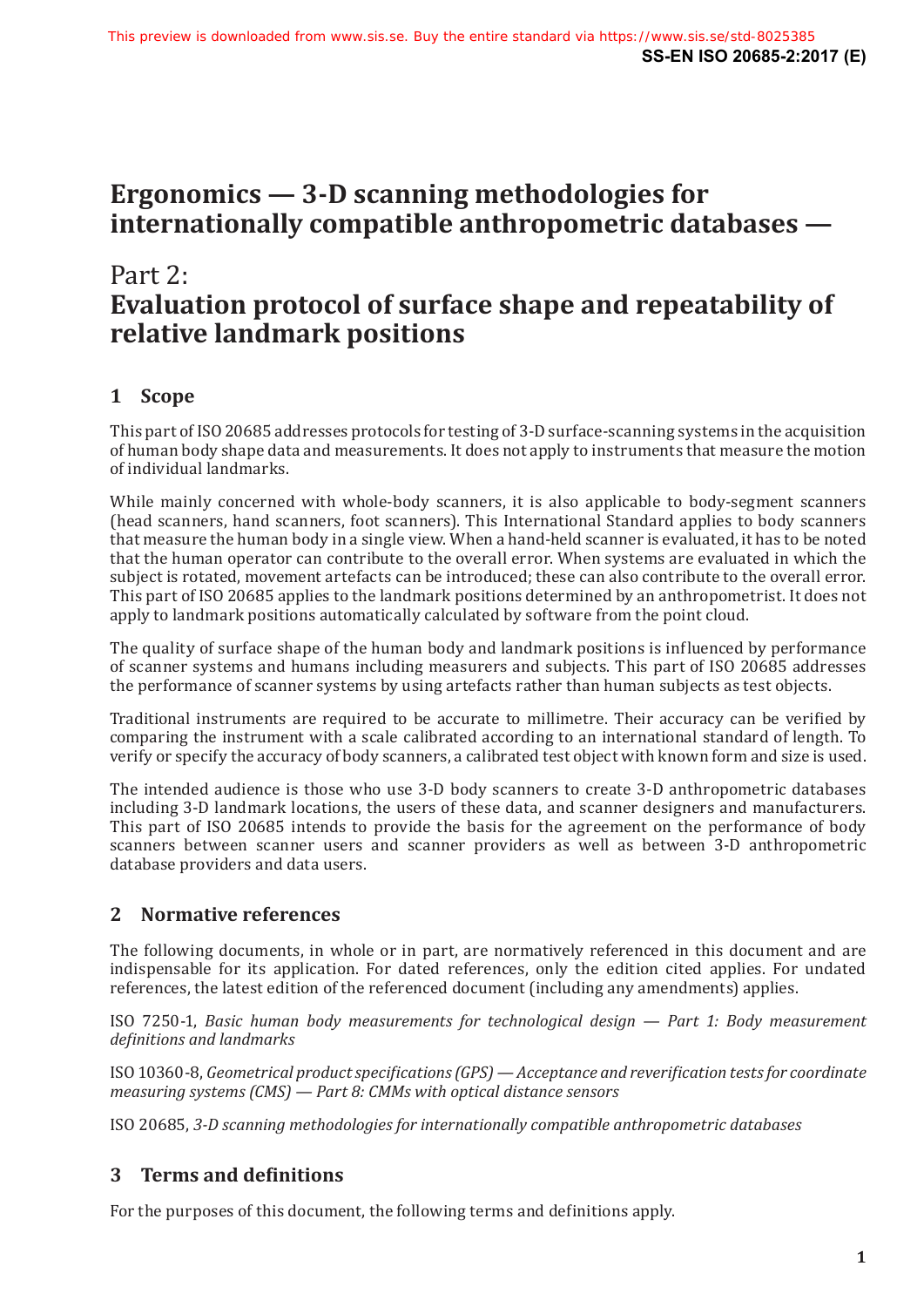## **Ergonomics — 3-D scanning methodologies for internationally compatible anthropometric databases —**

## Part 2: **Evaluation protocol of surface shape and repeatability of relative landmark positions**

## **1 Scope**

This part of ISO 20685 addresses protocols for testing of 3-D surface-scanning systems in the acquisition of human body shape data and measurements. It does not apply to instruments that measure the motion of individual landmarks.

While mainly concerned with whole-body scanners, it is also applicable to body-segment scanners (head scanners, hand scanners, foot scanners). This International Standard applies to body scanners that measure the human body in a single view. When a hand-held scanner is evaluated, it has to be noted that the human operator can contribute to the overall error. When systems are evaluated in which the subject is rotated, movement artefacts can be introduced; these can also contribute to the overall error. This part of ISO 20685 applies to the landmark positions determined by an anthropometrist. It does not apply to landmark positions automatically calculated by software from the point cloud.

The quality of surface shape of the human body and landmark positions is influenced by performance of scanner systems and humans including measurers and subjects. This part of ISO 20685 addresses the performance of scanner systems by using artefacts rather than human subjects as test objects.

Traditional instruments are required to be accurate to millimetre. Their accuracy can be verified by comparing the instrument with a scale calibrated according to an international standard of length. To verify or specify the accuracy of body scanners, a calibrated test object with known form and size is used.

The intended audience is those who use 3-D body scanners to create 3-D anthropometric databases including 3-D landmark locations, the users of these data, and scanner designers and manufacturers. This part of ISO 20685 intends to provide the basis for the agreement on the performance of body scanners between scanner users and scanner providers as well as between 3-D anthropometric database providers and data users.

## **2 Normative references**

The following documents, in whole or in part, are normatively referenced in this document and are indispensable for its application. For dated references, only the edition cited applies. For undated references, the latest edition of the referenced document (including any amendments) applies.

ISO 7250-1, *Basic human body measurements for technological design — Part 1: Body measurement definitions and landmarks*

ISO 10360-8, *Geometrical product specifications (GPS) — Acceptance and reverification tests for coordinate measuring systems (CMS) — Part 8: CMMs with optical distance sensors*

ISO 20685, *3-D scanning methodologies for internationally compatible anthropometric databases*

## **3 Terms and definitions**

For the purposes of this document, the following terms and definitions apply.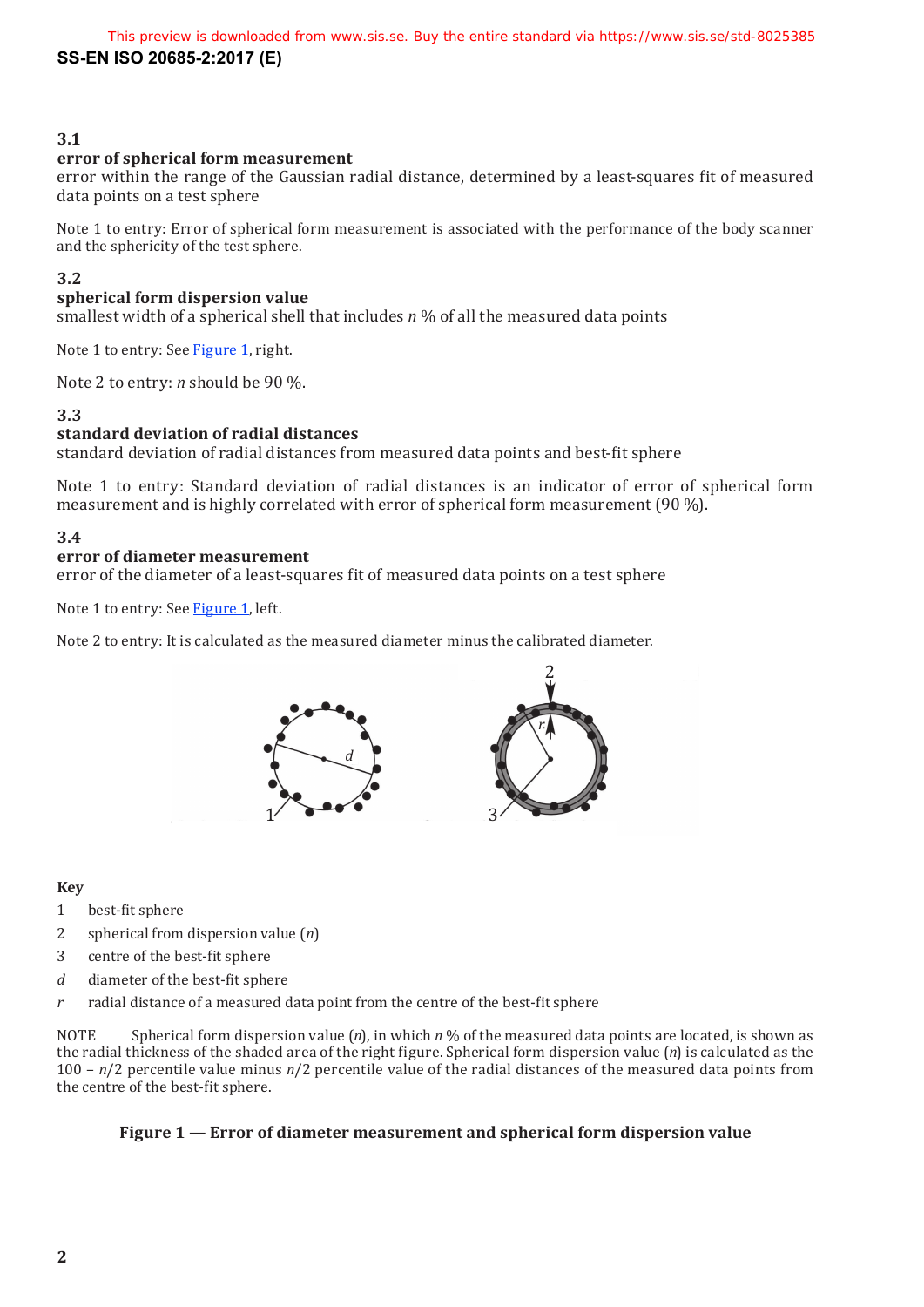## **SS-EN ISO 20685-2:2017 (E)**  This preview is downloaded from www.sis.se. Buy the entire standard via https://www.sis.se/std-8025385

## **3.1**

### **error of spherical form measurement**

error within the range of the Gaussian radial distance, determined by a least-squares fit of measured data points on a test sphere

Note 1 to entry: Error of spherical form measurement is associated with the performance of the body scanner and the sphericity of the test sphere.

## **3.2**

### **spherical form dispersion value**

smallest width of a spherical shell that includes *n* % of all the measured data points

Note 1 to entry: See Figure 1, right.

Note 2 to entry: *n* should be 90 %.

#### **3.3**

### **standard deviation of radial distances**

standard deviation of radial distances from measured data points and best-fit sphere

Note 1 to entry: Standard deviation of radial distances is an indicator of error of spherical form measurement and is highly correlated with error of spherical form measurement (90 %).

### **3.4**

### **error of diameter measurement**

error of the diameter of a least-squares fit of measured data points on a test sphere

Note 1 to entry: See Figure 1, left.

Note 2 to entry: It is calculated as the measured diameter minus the calibrated diameter.



### **Key**

- 1 best-fit sphere
- 2 spherical from dispersion value (*n*)
- 3 centre of the best-fit sphere
- *d* diameter of the best-fit sphere
- *r* radial distance of a measured data point from the centre of the best-fit sphere

NOTE Spherical form dispersion value (*n*), in which *n* % of the measured data points are located, is shown as the radial thickness of the shaded area of the right figure. Spherical form dispersion value (*n*) is calculated as the 100 – *n*/2 percentile value minus *n*/2 percentile value of the radial distances of the measured data points from the centre of the best-fit sphere.

### **Figure 1 — Error of diameter measurement and spherical form dispersion value**